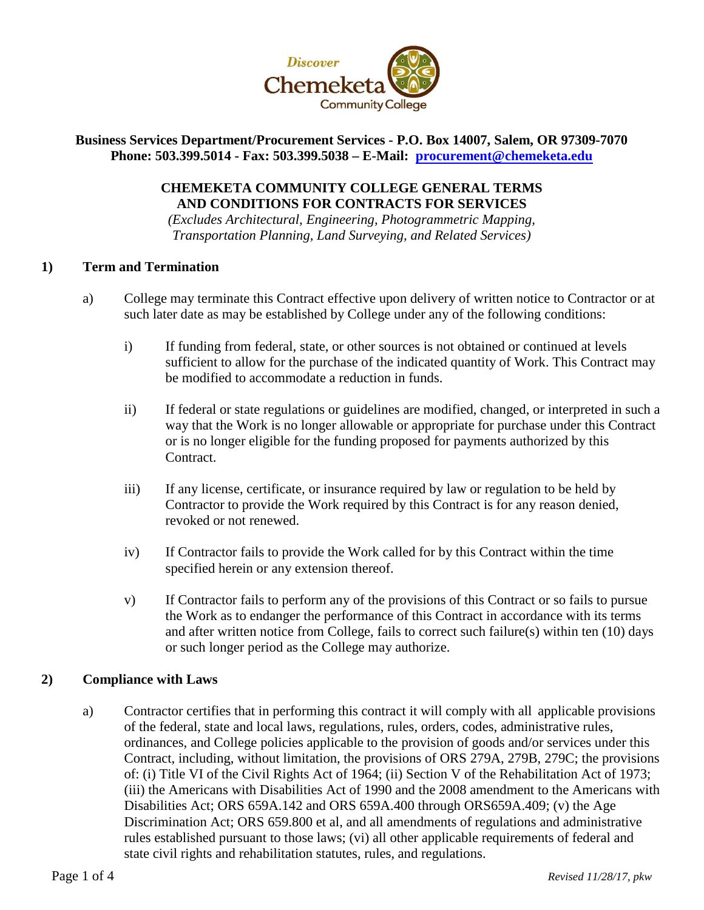

# **Business Services Department/Procurement Services - P.O. Box 14007, Salem, OR 97309-7070 Phone: 503.399.5014 - Fax: 503.399.5038 – E-Mail: [procurement@chemeketa.edu](mailto:procurement@chemeketa.edu)**

# **CHEMEKETA COMMUNITY COLLEGE GENERAL TERMS AND CONDITIONS FOR CONTRACTS FOR SERVICES**

*(Excludes Architectural, Engineering, Photogrammetric Mapping, Transportation Planning, Land Surveying, and Related Services)*

# **1) Term and Termination**

- a) College may terminate this Contract effective upon delivery of written notice to Contractor or at such later date as may be established by College under any of the following conditions:
	- i) If funding from federal, state, or other sources is not obtained or continued at levels sufficient to allow for the purchase of the indicated quantity of Work. This Contract may be modified to accommodate a reduction in funds.
	- ii) If federal or state regulations or guidelines are modified, changed, or interpreted in such a way that the Work is no longer allowable or appropriate for purchase under this Contract or is no longer eligible for the funding proposed for payments authorized by this Contract.
	- iii) If any license, certificate, or insurance required by law or regulation to be held by Contractor to provide the Work required by this Contract is for any reason denied, revoked or not renewed.
	- iv) If Contractor fails to provide the Work called for by this Contract within the time specified herein or any extension thereof.
	- v) If Contractor fails to perform any of the provisions of this Contract or so fails to pursue the Work as to endanger the performance of this Contract in accordance with its terms and after written notice from College, fails to correct such failure(s) within ten (10) days or such longer period as the College may authorize.

# **2) Compliance with Laws**

a) Contractor certifies that in performing this contract it will comply with all applicable provisions of the federal, state and local laws, regulations, rules, orders, codes, administrative rules, ordinances, and College policies applicable to the provision of goods and/or services under this Contract, including, without limitation, the provisions of ORS 279A, 279B, 279C; the provisions of: (i) Title VI of the Civil Rights Act of 1964; (ii) Section V of the Rehabilitation Act of 1973; (iii) the Americans with Disabilities Act of 1990 and the 2008 amendment to the Americans with Disabilities Act; ORS 659A.142 and ORS 659A.400 through ORS659A.409; (v) the Age Discrimination Act; ORS 659.800 et al, and all amendments of regulations and administrative rules established pursuant to those laws; (vi) all other applicable requirements of federal and state civil rights and rehabilitation statutes, rules, and regulations.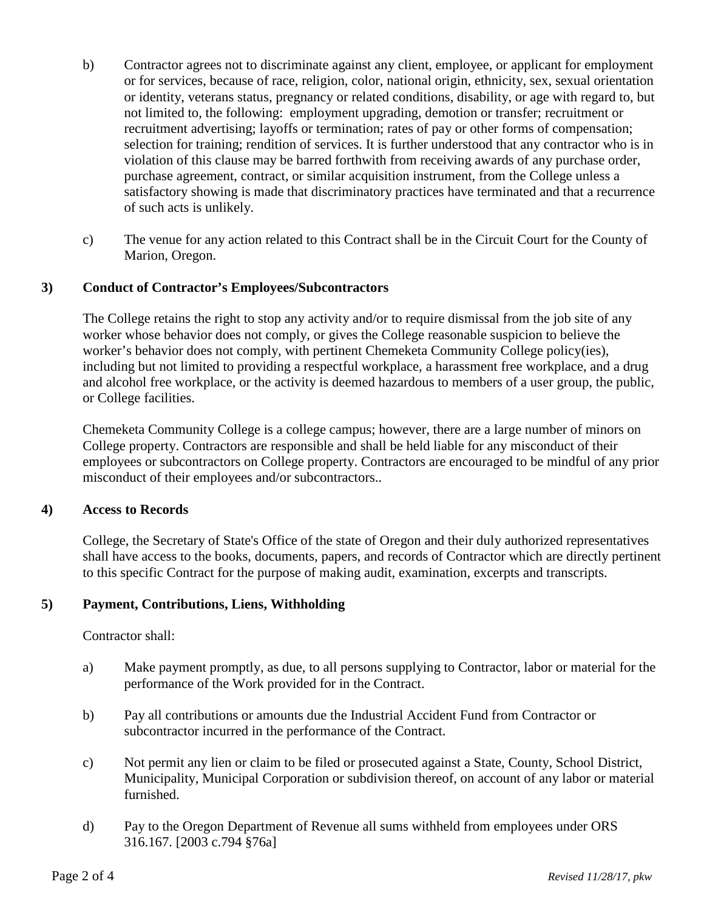- b) Contractor agrees not to discriminate against any client, employee, or applicant for employment or for services, because of race, religion, color, national origin, ethnicity, sex, sexual orientation or identity, veterans status, pregnancy or related conditions, disability, or age with regard to, but not limited to, the following: employment upgrading, demotion or transfer; recruitment or recruitment advertising; layoffs or termination; rates of pay or other forms of compensation; selection for training; rendition of services. It is further understood that any contractor who is in violation of this clause may be barred forthwith from receiving awards of any purchase order, purchase agreement, contract, or similar acquisition instrument, from the College unless a satisfactory showing is made that discriminatory practices have terminated and that a recurrence of such acts is unlikely.
- c) The venue for any action related to this Contract shall be in the Circuit Court for the County of Marion, Oregon.

# **3) Conduct of Contractor's Employees/Subcontractors**

The College retains the right to stop any activity and/or to require dismissal from the job site of any worker whose behavior does not comply, or gives the College reasonable suspicion to believe the worker's behavior does not comply, with pertinent Chemeketa Community College policy(ies), including but not limited to providing a respectful workplace, a harassment free workplace, and a drug and alcohol free workplace, or the activity is deemed hazardous to members of a user group, the public, or College facilities.

Chemeketa Community College is a college campus; however, there are a large number of minors on College property. Contractors are responsible and shall be held liable for any misconduct of their employees or subcontractors on College property. Contractors are encouraged to be mindful of any prior misconduct of their employees and/or subcontractors..

#### **4) Access to Records**

College, the Secretary of State's Office of the state of Oregon and their duly authorized representatives shall have access to the books, documents, papers, and records of Contractor which are directly pertinent to this specific Contract for the purpose of making audit, examination, excerpts and transcripts.

#### **5) Payment, Contributions, Liens, Withholding**

#### Contractor shall:

- a) Make payment promptly, as due, to all persons supplying to Contractor, labor or material for the performance of the Work provided for in the Contract.
- b) Pay all contributions or amounts due the Industrial Accident Fund from Contractor or subcontractor incurred in the performance of the Contract.
- c) Not permit any lien or claim to be filed or prosecuted against a State, County, School District, Municipality, Municipal Corporation or subdivision thereof, on account of any labor or material furnished.
- d) Pay to the Oregon Department of Revenue all sums withheld from employees under ORS 316.167. [2003 c.794 §76a]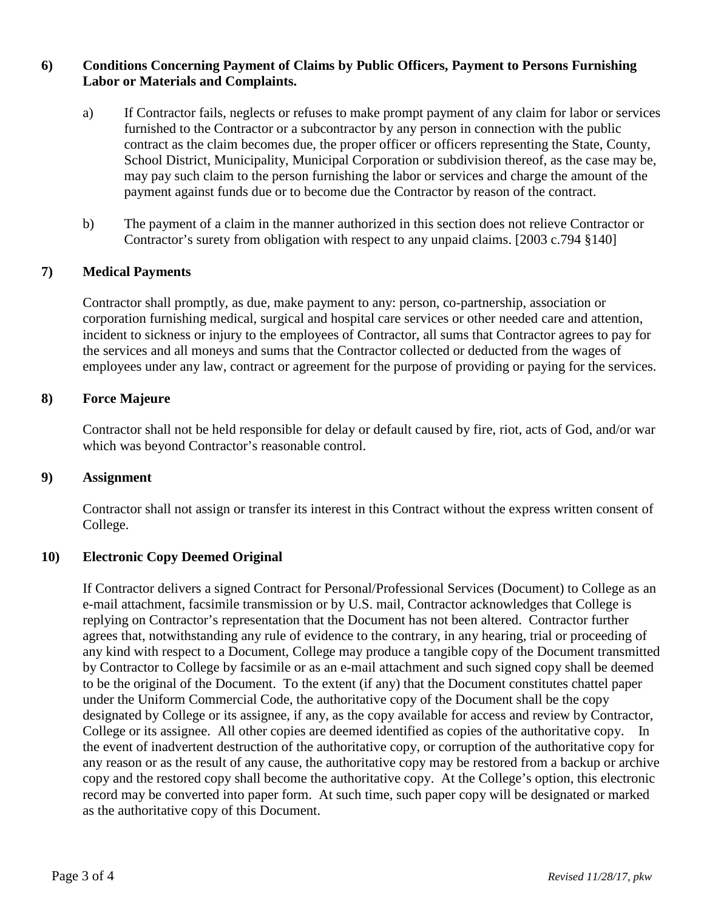## **6) Conditions Concerning Payment of Claims by Public Officers, Payment to Persons Furnishing Labor or Materials and Complaints.**

- a) If Contractor fails, neglects or refuses to make prompt payment of any claim for labor or services furnished to the Contractor or a subcontractor by any person in connection with the public contract as the claim becomes due, the proper officer or officers representing the State, County, School District, Municipality, Municipal Corporation or subdivision thereof, as the case may be, may pay such claim to the person furnishing the labor or services and charge the amount of the payment against funds due or to become due the Contractor by reason of the contract.
- b) The payment of a claim in the manner authorized in this section does not relieve Contractor or Contractor's surety from obligation with respect to any unpaid claims. [2003 c.794 §140]

# **7) Medical Payments**

Contractor shall promptly, as due, make payment to any: person, co-partnership, association or corporation furnishing medical, surgical and hospital care services or other needed care and attention, incident to sickness or injury to the employees of Contractor, all sums that Contractor agrees to pay for the services and all moneys and sums that the Contractor collected or deducted from the wages of employees under any law, contract or agreement for the purpose of providing or paying for the services.

#### **8) Force Majeure**

Contractor shall not be held responsible for delay or default caused by fire, riot, acts of God, and/or war which was beyond Contractor's reasonable control.

#### **9) Assignment**

Contractor shall not assign or transfer its interest in this Contract without the express written consent of College.

#### **10) Electronic Copy Deemed Original**

If Contractor delivers a signed Contract for Personal/Professional Services (Document) to College as an e-mail attachment, facsimile transmission or by U.S. mail, Contractor acknowledges that College is replying on Contractor's representation that the Document has not been altered. Contractor further agrees that, notwithstanding any rule of evidence to the contrary, in any hearing, trial or proceeding of any kind with respect to a Document, College may produce a tangible copy of the Document transmitted by Contractor to College by facsimile or as an e-mail attachment and such signed copy shall be deemed to be the original of the Document. To the extent (if any) that the Document constitutes chattel paper under the Uniform Commercial Code, the authoritative copy of the Document shall be the copy designated by College or its assignee, if any, as the copy available for access and review by Contractor, College or its assignee. All other copies are deemed identified as copies of the authoritative copy. In the event of inadvertent destruction of the authoritative copy, or corruption of the authoritative copy for any reason or as the result of any cause, the authoritative copy may be restored from a backup or archive copy and the restored copy shall become the authoritative copy. At the College's option, this electronic record may be converted into paper form. At such time, such paper copy will be designated or marked as the authoritative copy of this Document.